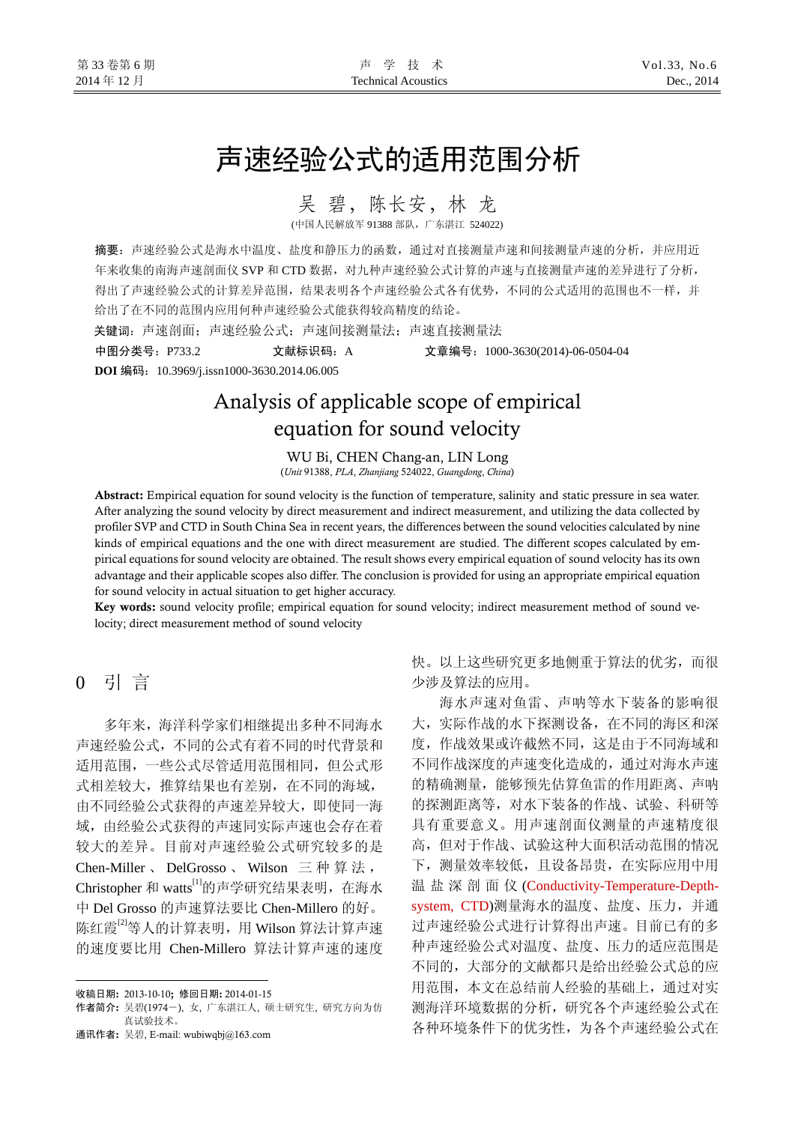# 声速经验公式的适用范围分析

吴 碧,陈长安,林龙

(中国人民解放军 91388 部队,广东湛江 524022)

摘要:声速经验公式是海水中温度、盐度和静压力的函数,通过对直接测量声速和间接测量声速的分析,并应用近 年来收集的南海声速剖面仪 SVP 和 CTD 数据,对九种声速经验公式计算的声速与直接测量声速的差异进行了分析, 得出了声速经验公式的计算差异范围,结果表明各个声速经验公式各有优势,不同的公式适用的范围也不一样,并 给出了在不同的范围内应用何种声速经验公式能获得较高精度的结论。

关键词:声速剖面;声速经验公式;声速间接测量法;声速直接测量法

中图分类号:P733.2 文献标识码:A 文章编号:1000-3630(2014)-06-0504-04 **DOI** 编码:10.3969/j.issn1000-3630.2014.06.005

# Analysis of applicable scope of empirical equation for sound velocity

WU Bi, CHEN Chang-an, LIN Long (*Unit* 91388, *PLA*, *Zhanjiang* 524022, *Guangdong*, *China*)

Abstract: Empirical equation for sound velocity is the function of temperature, salinity and static pressure in sea water. After analyzing the sound velocity by direct measurement and indirect measurement, and utilizing the data collected by profiler SVP and CTD in South China Sea in recent years, the differences between the sound velocities calculated by nine kinds of empirical equations and the one with direct measurement are studied. The different scopes calculated by empirical equations for sound velocity are obtained. The result shows every empirical equation of sound velocity has its own advantage and their applicable scopes also differ. The conclusion is provided for using an appropriate empirical equation for sound velocity in actual situation to get higher accuracy.

Key words: sound velocity profile; empirical equation for sound velocity; indirect measurement method of sound velocity; direct measurement method of sound velocity

0 引 言

 $\overline{a}$ 

多年来,海洋科学家们相继提出多种不同海水 声速经验公式,不同的公式有着不同的时代背景和 适用范围,一些公式尽管适用范围相同,但公式形 式相差较大,推算结果也有差别,在不同的海域, 由不同经验公式获得的声速差异较大,即使同一海 域,由经验公式获得的声速同实际声速也会存在着 较大的差异。目前对声速经验公式研究较多的是 Chen-Miller 、 DelGrosso 、 Wilson 三种算法, Christopher 和 watts[1]的声学研究结果表明, 在海水 中 Del Grosso 的声速算法要比 Chen-Millero 的好。 陈红霞<sup>[2]</sup>等人的计算表明,用 Wilson 算法计算声速 的速度要比用 Chen-Millero 算法计算声速的速度

通讯作者: 吴碧, E-mail: wubiwqbj@163.com

快。以上这些研究更多地侧重于算法的优劣,而很 少涉及算法的应用。

海水声速对鱼雷、声呐等水下装备的影响很 大,实际作战的水下探测设备,在不同的海区和深 度,作战效果或许截然不同,这是由于不同海域和 不同作战深度的声速变化造成的,通过对海水声速 的精确测量,能够预先估算鱼雷的作用距离、声呐 的探测距离等,对水下装备的作战、试验、科研等 具有重要意义。用声速剖面仪测量的声速精度很 高,但对于作战、试验这种大面积活动范围的情况 下,测量效率较低,且设备昂贵,在实际应用中用 温盐深剖面仪 (Conductivity-Temperature-Depthsystem, CTD)测量海水的温度、盐度、压力,并通 过声速经验公式进行计算得出声速。目前已有的多 种声速经验公式对温度、盐度、压力的适应范围是 不同的,大部分的文献都只是给出经验公式总的应 用范围,本文在总结前人经验的基础上,通过对实 测海洋环境数据的分析,研究各个声速经验公式在 各种环境条件下的优劣性,为各个声速经验公式在

收稿日期: 2013-10-10; 修回日期: 2014-01-15

作者简介: 吴碧(1974-), 女, 广东湛江人, 硕士研究生, 研究方向为仿 真试验技术。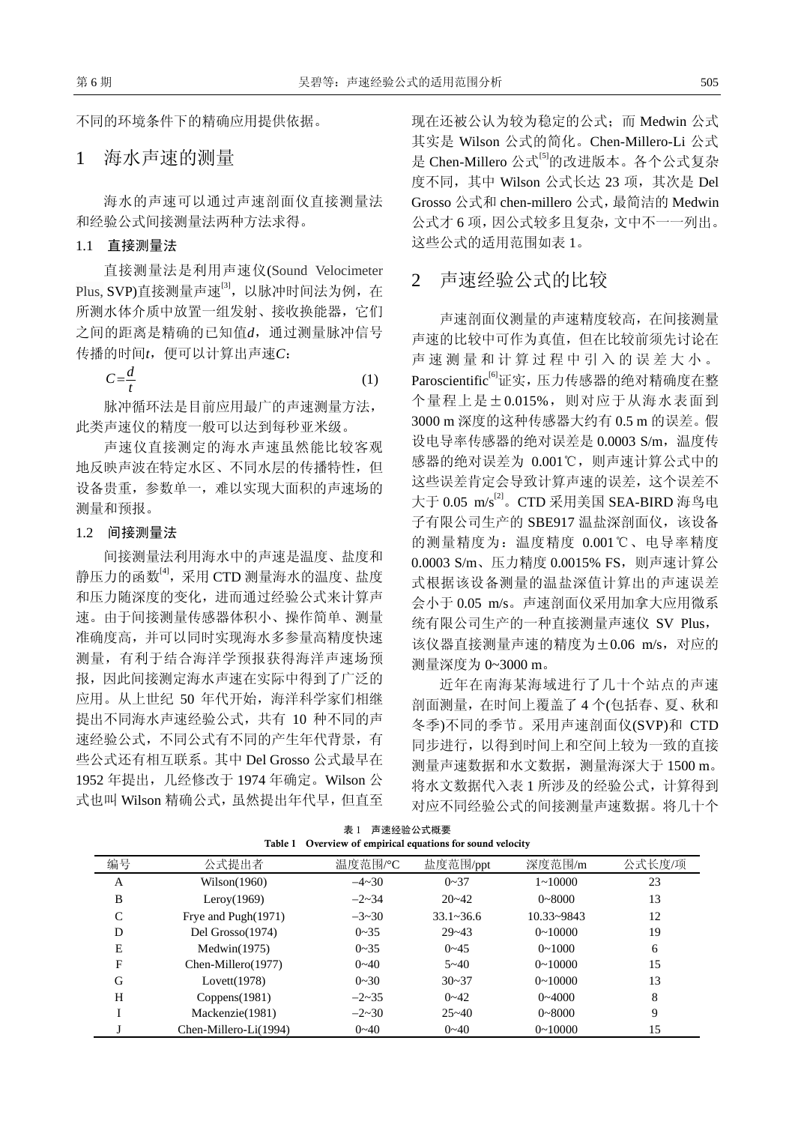不同的环境条件下的精确应用提供依据。

# 1海水声速的测量

海水的声速可以通过声速剖面仪直接测量法 和经验公式间接测量法两种方法求得。

#### 1.1 直接测量法

直接测量法是利用声速仪(Sound Velocimeter Plus, SVP)直接测量声速<sup>[3]</sup>, 以脉冲时间法为例, 在 所测水体介质中放置一组发射、接收换能器,它们 之间的距离是精确的已知值*d*,通过测量脉冲信号 传播的时间*t*,便可以计算出声速*C*:

> $C = \frac{d}{2}$  $=\frac{a}{t}$  (1)

脉冲循环法是目前应用最广的声速测量方法, 此类声速仪的精度一般可以达到每秒亚米级。

声速仪直接测定的海水声速虽然能比较客观 地反映声波在特定水区、不同水层的传播特性,但 设备贵重,参数单一,难以实现大面积的声速场的 测量和预报。

#### 1.2 间接测量法

间接测量法利用海水中的声速是温度、盐度和 静压力的函数<sup>[4]</sup>,采用 CTD 测量海水的温度、盐度 和压力随深度的变化,进而通过经验公式来计算声 速。由于间接测量传感器体积小、操作简单、测量 准确度高,并可以同时实现海水多参量高精度快速 测量,有利于结合海洋学预报获得海洋声速场预 报,因此间接测定海水声速在实际中得到了广泛的 应用。从上世纪 50 年代开始,海洋科学家们相继 提出不同海水声速经验公式,共有 10 种不同的声 速经验公式,不同公式有不同的产生年代背景,有 些公式还有相互联系。其中 Del Grosso 公式最早在 1952 年提出,几经修改于 1974 年确定。Wilson 公 式也叫 Wilson 精确公式,虽然提出年代早,但直至 现在还被公认为较为稳定的公式;而 Medwin 公式 其实是 Wilson 公式的简化。Chen-Millero-Li 公式 是 Chen-Millero 公式<sup>[5]</sup>的改进版本。各个公式复杂 度不同, 其中 Wilson 公式长达 23 项, 其次是 Del Grosso 公式和 chen-millero 公式,最简洁的 Medwin 公式才 6 项, 因公式较多且复杂, 文中不一一列出。 这些公式的适用范围如表 1。

### 2声速经验公式的比较

声速剖面仪测量的声速精度较高,在间接测量 声速的比较中可作为真值,但在比较前须先讨论在 声速测量和计算过程中引入的误差大小。 Paroscientific<sup>[6]</sup>证实,压力传感器的绝对精确度在整 个量程上是±0.015%,则对应于从海水表面到 3000 m 深度的这种传感器大约有 0.5 m 的误差。假 设电导率传感器的绝对误差是 0.0003 S/m, 温度传 感器的绝对误差为 0.001℃,则声速计算公式中的 这些误差肯定会导致计算声速的误差,这个误差不 大于 0.05 m/s[2]。CTD 采用美国 SEA-BIRD 海鸟电 子有限公司生产的 SBE917 温盐深剖面仪, 该设备 的测量精度为:温度精度 0.001℃、电导率精度 0.0003 S/m、压力精度 0.0015% FS, 则声速计算公 式根据该设备测量的温盐深值计算出的声速误差 会小于 0.05 m/s。声速剖面仪采用加拿大应用微系 统有限公司生产的一种直接测量声速仪 SV Plus, 该仪器直接测量声速的精度为±0.06 m/s, 对应的 测量深度为 0~3000 m。

近年在南海某海域进行了几十个站点的声速 剖面测量,在时间上覆盖了 4 个(包括春、夏、秋和 冬季)不同的季节。采用声速剖面仪(SVP)和 CTD 同步进行,以得到时间上和空间上较为一致的直接 测量声速数据和水文数据,测量海深大于 1500 m。 将水文数据代入表 1 所涉及的经验公式,计算得到 对应不同经验公式的间接测量声速数据。将几十个

| 编号 | 公式提出者                 | 温度范围/°C      | 盐度范围/ppt      | 深度范围/m         | 公式长度/项 |
|----|-----------------------|--------------|---------------|----------------|--------|
| A  | Wilson(1960)          | $-4 \sim 30$ | $0 - 37$      | $1 - 10000$    | 23     |
| B  | Leroy $(1969)$        | $-2 \sim 34$ | $20 - 42$     | $0\neg 8000$   | 13     |
| C  | Frye and Pugh(1971)   | $-3 \sim 30$ | $33.1 - 36.6$ | $10.33 - 9843$ | 12     |
| D  | Del Grosso(1974)      | $0 - 35$     | $29 - 43$     | $0 \sim 10000$ | 19     |
| Е  | Medwin(1975)          | $0 - 35$     | $0 - 45$      | $0 \sim 1000$  | 6      |
| F  | Chen-Millero(1977)    | $0 - 40$     | $5 - 40$      | $0 \sim 10000$ | 15     |
| G  | Lovett $(1978)$       | $0 - 30$     | $30 - 37$     | $0 \sim 10000$ | 13     |
| H  | Coppens(1981)         | $-2 \sim 35$ | $0 - 42$      | $0 - 4000$     | 8      |
|    | Mackenzie(1981)       | $-2 \sim 30$ | $25 - 40$     | $0 - 8000$     | 9      |
|    | Chen-Millero-Li(1994) | $0 - 40$     | $0 - 40$      | $0 - 10000$    | 15     |

表 1 声速经验公式概要 Overview of empirical equations for sound velocity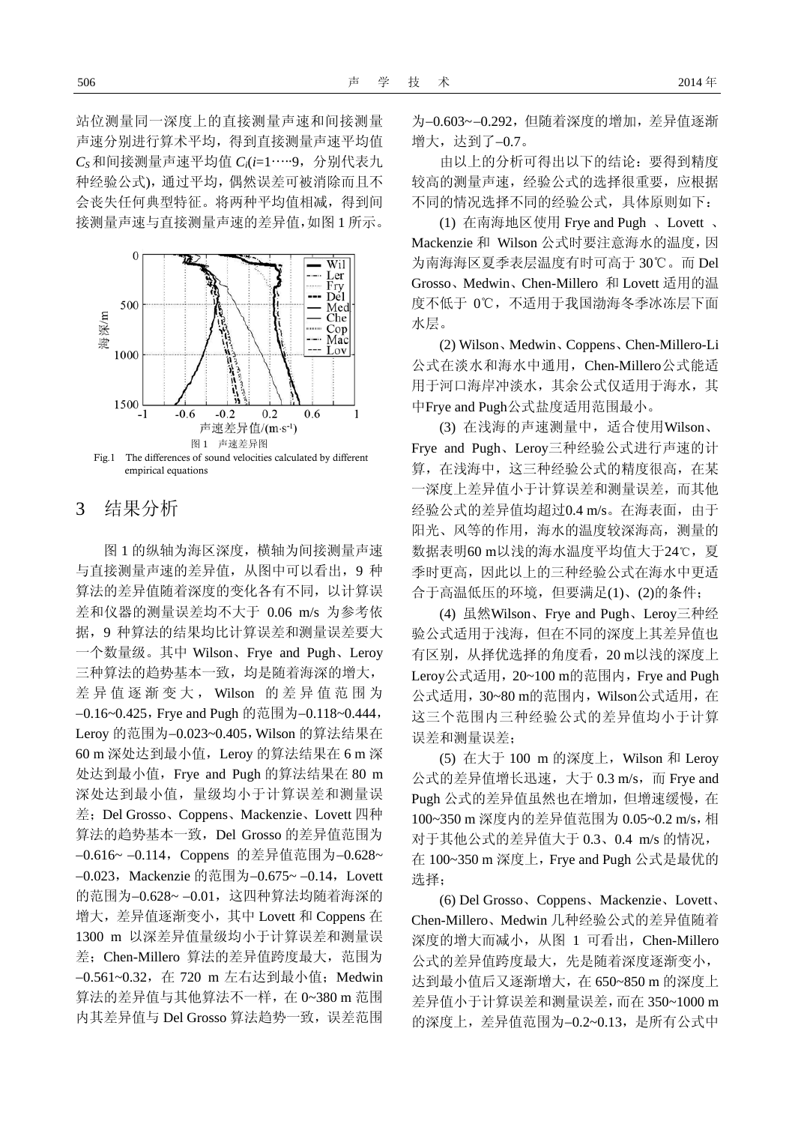站位测量同一深度上的直接测量声速和间接测量 声速分别进行算术平均,得到直接测量声速平均值 *CS* 和间接测量声速平均值 *Ci*(*i*=1…..9,分别代表九 种经验公式),通过平均,偶然误差可被消除而且不 会丧失任何典型特征。将两种平均值相减,得到间 接测量声速与直接测量声速的差异值,如图 1 所示。



# 3结果分析

图 1 的纵轴为海区深度,横轴为间接测量声速 与直接测量声速的差异值,从图中可以看出,9 种 算法的差异值随着深度的变化各有不同,以计算误 差和仪器的测量误差均不大于 0.06 m/s 为参考依 据,9 种算法的结果均比计算误差和测量误差要大 一个数量级。其中 Wilson、Frye and Pugh、Leroy 三种算法的趋势基本一致,均是随着海深的增大, 差异值逐渐变大, Wilson 的差异值范围为 −0.16~0.425,Frye and Pugh 的范围为−0.118~0.444, Leroy 的范围为−0.023~0.405,Wilson 的算法结果在 60 m 深处达到最小值,Leroy 的算法结果在 6 m 深 处达到最小值,Frye and Pugh 的算法结果在 80 m 深处达到最小值,量级均小于计算误差和测量误 差; Del Grosso、Coppens、Mackenzie、Lovett 四种 算法的趋势基本一致,Del Grosso 的差异值范围为 −0.616~ −0.114,Coppens 的差异值范围为−0.628~ −0.023,Mackenzie 的范围为−0.675~ −0.14,Lovett 的范围为−0.628~ −0.01,这四种算法均随着海深的 增大,差异值逐渐变小,其中 Lovett 和 Coppens 在 1300 m 以深差异值量级均小于计算误差和测量误 差; Chen-Millero 算法的差异值跨度最大, 范围为 −0.561~0.32,在 720 m 左右达到最小值;Medwin 算法的差异值与其他算法不一样,在 0~380 m 范围 内其差异值与 Del Grosso 算法趋势一致, 误差范围

为−0.603~ −0.292,但随着深度的增加,差异值逐渐 增大,达到了−0.7。

由以上的分析可得出以下的结论:要得到精度 较高的测量声速,经验公式的选择很重要,应根据 不同的情况选择不同的经验公式,具体原则如下:

(1) 在南海地区使用 Frye and Pugh 、Lovett 、 Mackenzie 和 Wilson 公式时要注意海水的温度,因 为南海海区夏季表层温度有时可高于 30℃。而 Del Grosso、Medwin、Chen-Millero 和 Lovett 适用的温 度不低于 0℃,不适用于我国渤海冬季冰冻层下面 水层。

(2) Wilson、Medwin、Coppens、Chen-Millero-Li 公式在淡水和海水中通用,Chen-Millero公式能适 用于河口海岸冲淡水,其余公式仅适用于海水,其 中Frye and Pugh公式盐度适用范围最小。

(3) 在浅海的声速测量中,适合使用Wilson、 Frye and Pugh、Leroy三种经验公式进行声速的计 算,在浅海中,这三种经验公式的精度很高,在某 一深度上差异值小于计算误差和测量误差,而其他 经验公式的差异值均超过0.4 m/s。在海表面,由于 阳光、风等的作用,海水的温度较深海高,测量的 数据表明60 m以浅的海水温度平均值大于24℃,夏 季时更高,因此以上的三种经验公式在海水中更适 合于高温低压的环境,但要满足(1)、(2)的条件;

(4) 虽然Wilson、Frye and Pugh、Leroy三种经 验公式适用于浅海,但在不同的深度上其差异值也 有区别,从择优选择的角度看,20 m以浅的深度上 Leroy公式适用, 20~100 m的范围内, Frye and Pugh 公式适用,30~80 m的范围内,Wilson公式适用,在 这三个范围内三种经验公式的差异值均小于计算 误差和测量误差;

(5) 在大于 100 m 的深度上,Wilson 和 Leroy  $\triangle$ 式的差异值增长迅速,大于 0.3 m/s, 而 Frye and Pugh 公式的差异值虽然也在增加,但增速缓慢,在 100~350 m 深度内的差异值范围为 0.05~0.2 m/s,相 对于其他公式的差异值大于 0.3、0.4 m/s 的情况, 在 100~350 m 深度上,Frye and Pugh 公式是最优的 选择;

(6) Del Grosso、Coppens、Mackenzie、Lovett、 Chen-Millero、Medwin 几种经验公式的差异值随着 深度的增大而减小,从图 1 可看出,Chen-Millero 公式的差异值跨度最大,先是随着深度逐渐变小, 达到最小值后又逐渐增大,在 650~850 m 的深度上 差异值小于计算误差和测量误差,而在 350~1000 m 的深度上,差异值范围为−0.2~0.13,是所有公式中